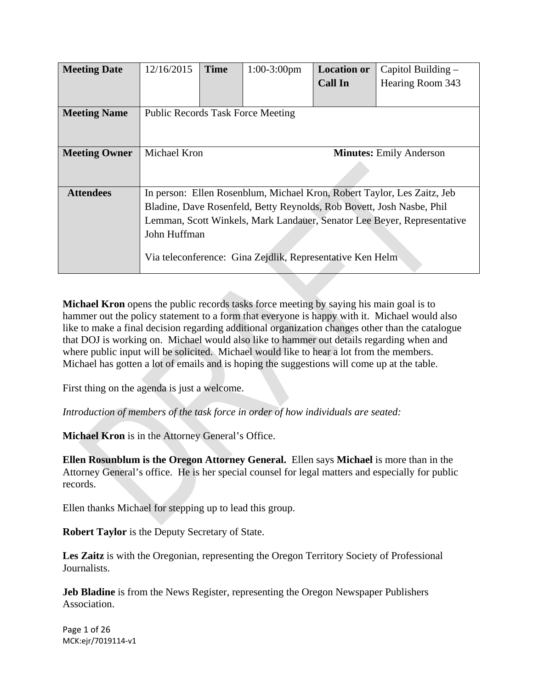| <b>Meeting Date</b>  | 12/16/2015                                                              | <b>Time</b> | $1:00-3:00$ pm | <b>Location or</b> | Capitol Building – |
|----------------------|-------------------------------------------------------------------------|-------------|----------------|--------------------|--------------------|
|                      |                                                                         |             |                | <b>Call In</b>     | Hearing Room 343   |
|                      |                                                                         |             |                |                    |                    |
| <b>Meeting Name</b>  | <b>Public Records Task Force Meeting</b>                                |             |                |                    |                    |
|                      |                                                                         |             |                |                    |                    |
|                      |                                                                         |             |                |                    |                    |
| <b>Meeting Owner</b> | Michael Kron<br><b>Minutes:</b> Emily Anderson                          |             |                |                    |                    |
|                      |                                                                         |             |                |                    |                    |
|                      |                                                                         |             |                |                    |                    |
| <b>Attendees</b>     | In person: Ellen Rosenblum, Michael Kron, Robert Taylor, Les Zaitz, Jeb |             |                |                    |                    |
|                      | Bladine, Dave Rosenfeld, Betty Reynolds, Rob Bovett, Josh Nasbe, Phil   |             |                |                    |                    |
|                      | Lemman, Scott Winkels, Mark Landauer, Senator Lee Beyer, Representative |             |                |                    |                    |
|                      | John Huffman                                                            |             |                |                    |                    |
|                      |                                                                         |             |                |                    |                    |
|                      | Via teleconference: Gina Zejdlik, Representative Ken Helm               |             |                |                    |                    |
|                      |                                                                         |             |                |                    |                    |

**Michael Kron** opens the public records tasks force meeting by saying his main goal is to hammer out the policy statement to a form that everyone is happy with it. Michael would also like to make a final decision regarding additional organization changes other than the catalogue that DOJ is working on. Michael would also like to hammer out details regarding when and where public input will be solicited. Michael would like to hear a lot from the members. Michael has gotten a lot of emails and is hoping the suggestions will come up at the table.

First thing on the agenda is just a welcome.

*Introduction of members of the task force in order of how individuals are seated:* 

**Michael Kron** is in the Attorney General's Office.

**Ellen Rosunblum is the Oregon Attorney General.** Ellen says **Michael** is more than in the Attorney General's office. He is her special counsel for legal matters and especially for public records.

Ellen thanks Michael for stepping up to lead this group.

**Robert Taylor** is the Deputy Secretary of State.

**Les Zaitz** is with the Oregonian, representing the Oregon Territory Society of Professional Journalists.

**Jeb Bladine** is from the News Register, representing the Oregon Newspaper Publishers Association.

Page 1 of 26 MCK:ejr/7019114‐v1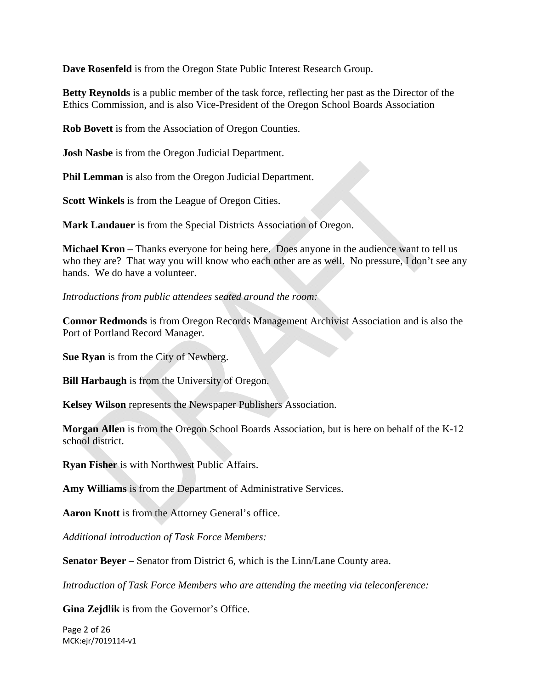**Dave Rosenfeld** is from the Oregon State Public Interest Research Group.

**Betty Reynolds** is a public member of the task force, reflecting her past as the Director of the Ethics Commission, and is also Vice-President of the Oregon School Boards Association

**Rob Bovett** is from the Association of Oregon Counties.

**Josh Nasbe** is from the Oregon Judicial Department.

**Phil Lemman** is also from the Oregon Judicial Department.

**Scott Winkels** is from the League of Oregon Cities.

**Mark Landauer** is from the Special Districts Association of Oregon.

**Michael Kron** – Thanks everyone for being here. Does anyone in the audience want to tell us who they are? That way you will know who each other are as well. No pressure, I don't see any hands. We do have a volunteer.

*Introductions from public attendees seated around the room:* 

**Connor Redmonds** is from Oregon Records Management Archivist Association and is also the Port of Portland Record Manager.

**Sue Ryan** is from the City of Newberg.

**Bill Harbaugh** is from the University of Oregon.

**Kelsey Wilson** represents the Newspaper Publishers Association.

**Morgan Allen** is from the Oregon School Boards Association, but is here on behalf of the K-12 school district.

**Ryan Fisher** is with Northwest Public Affairs.

**Amy Williams** is from the Department of Administrative Services.

**Aaron Knott** is from the Attorney General's office.

*Additional introduction of Task Force Members:* 

**Senator Beyer** – Senator from District 6, which is the Linn/Lane County area.

*Introduction of Task Force Members who are attending the meeting via teleconference:* 

**Gina Zejdlik** is from the Governor's Office.

Page 2 of 26 MCK:ejr/7019114‐v1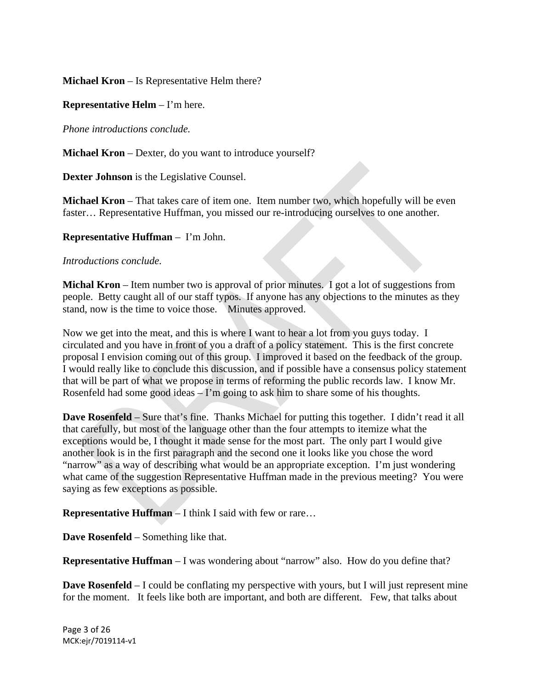**Michael Kron** – Is Representative Helm there?

**Representative Helm** – I'm here.

*Phone introductions conclude.* 

**Michael Kron** – Dexter, do you want to introduce yourself?

**Dexter Johnson** is the Legislative Counsel.

**Michael Kron** – That takes care of item one. Item number two, which hopefully will be even faster… Representative Huffman, you missed our re-introducing ourselves to one another.

### **Representative Huffman** – I'm John.

### *Introductions conclude.*

**Michal Kron** – Item number two is approval of prior minutes. I got a lot of suggestions from people. Betty caught all of our staff typos. If anyone has any objections to the minutes as they stand, now is the time to voice those. Minutes approved.

Now we get into the meat, and this is where I want to hear a lot from you guys today. I circulated and you have in front of you a draft of a policy statement. This is the first concrete proposal I envision coming out of this group. I improved it based on the feedback of the group. I would really like to conclude this discussion, and if possible have a consensus policy statement that will be part of what we propose in terms of reforming the public records law. I know Mr. Rosenfeld had some good ideas – I'm going to ask him to share some of his thoughts.

**Dave Rosenfeld** – Sure that's fine. Thanks Michael for putting this together. I didn't read it all that carefully, but most of the language other than the four attempts to itemize what the exceptions would be, I thought it made sense for the most part. The only part I would give another look is in the first paragraph and the second one it looks like you chose the word "narrow" as a way of describing what would be an appropriate exception. I'm just wondering what came of the suggestion Representative Huffman made in the previous meeting? You were saying as few exceptions as possible.

**Representative Huffman** – I think I said with few or rare…

**Dave Rosenfeld** – Something like that.

**Representative Huffman** – I was wondering about "narrow" also. How do you define that?

**Dave Rosenfeld** – I could be conflating my perspective with yours, but I will just represent mine for the moment. It feels like both are important, and both are different. Few, that talks about

Page 3 of 26 MCK:ejr/7019114‐v1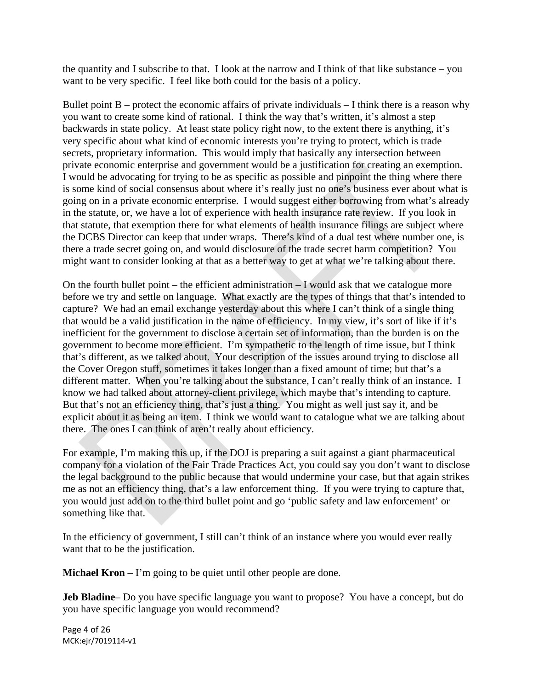the quantity and I subscribe to that. I look at the narrow and I think of that like substance – you want to be very specific. I feel like both could for the basis of a policy.

Bullet point  $B$  – protect the economic affairs of private individuals – I think there is a reason why you want to create some kind of rational. I think the way that's written, it's almost a step backwards in state policy. At least state policy right now, to the extent there is anything, it's very specific about what kind of economic interests you're trying to protect, which is trade secrets, proprietary information. This would imply that basically any intersection between private economic enterprise and government would be a justification for creating an exemption. I would be advocating for trying to be as specific as possible and pinpoint the thing where there is some kind of social consensus about where it's really just no one's business ever about what is going on in a private economic enterprise. I would suggest either borrowing from what's already in the statute, or, we have a lot of experience with health insurance rate review. If you look in that statute, that exemption there for what elements of health insurance filings are subject where the DCBS Director can keep that under wraps. There's kind of a dual test where number one, is there a trade secret going on, and would disclosure of the trade secret harm competition? You might want to consider looking at that as a better way to get at what we're talking about there.

On the fourth bullet point – the efficient administration  $-I$  would ask that we catalogue more before we try and settle on language. What exactly are the types of things that that's intended to capture? We had an email exchange yesterday about this where I can't think of a single thing that would be a valid justification in the name of efficiency. In my view, it's sort of like if it's inefficient for the government to disclose a certain set of information, than the burden is on the government to become more efficient. I'm sympathetic to the length of time issue, but I think that's different, as we talked about. Your description of the issues around trying to disclose all the Cover Oregon stuff, sometimes it takes longer than a fixed amount of time; but that's a different matter. When you're talking about the substance, I can't really think of an instance. I know we had talked about attorney-client privilege, which maybe that's intending to capture. But that's not an efficiency thing, that's just a thing. You might as well just say it, and be explicit about it as being an item. I think we would want to catalogue what we are talking about there. The ones I can think of aren't really about efficiency.

For example, I'm making this up, if the DOJ is preparing a suit against a giant pharmaceutical company for a violation of the Fair Trade Practices Act, you could say you don't want to disclose the legal background to the public because that would undermine your case, but that again strikes me as not an efficiency thing, that's a law enforcement thing. If you were trying to capture that, you would just add on to the third bullet point and go 'public safety and law enforcement' or something like that.

In the efficiency of government, I still can't think of an instance where you would ever really want that to be the justification.

**Michael Kron** – I'm going to be quiet until other people are done.

**Jeb Bladine**– Do you have specific language you want to propose? You have a concept, but do you have specific language you would recommend?

Page 4 of 26 MCK:ejr/7019114‐v1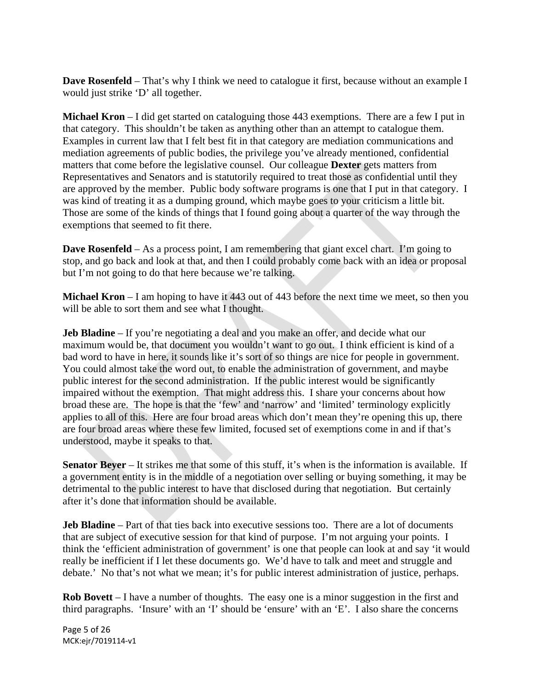**Dave Rosenfeld** – That's why I think we need to catalogue it first, because without an example I would just strike 'D' all together.

**Michael Kron** – I did get started on cataloguing those 443 exemptions. There are a few I put in that category. This shouldn't be taken as anything other than an attempt to catalogue them. Examples in current law that I felt best fit in that category are mediation communications and mediation agreements of public bodies, the privilege you've already mentioned, confidential matters that come before the legislative counsel. Our colleague **Dexter** gets matters from Representatives and Senators and is statutorily required to treat those as confidential until they are approved by the member. Public body software programs is one that I put in that category. I was kind of treating it as a dumping ground, which maybe goes to your criticism a little bit. Those are some of the kinds of things that I found going about a quarter of the way through the exemptions that seemed to fit there.

**Dave Rosenfeld** – As a process point, I am remembering that giant excel chart. I'm going to stop, and go back and look at that, and then I could probably come back with an idea or proposal but I'm not going to do that here because we're talking.

**Michael Kron** – I am hoping to have it 443 out of 443 before the next time we meet, so then you will be able to sort them and see what I thought.

**Jeb Bladine** – If you're negotiating a deal and you make an offer, and decide what our maximum would be, that document you wouldn't want to go out. I think efficient is kind of a bad word to have in here, it sounds like it's sort of so things are nice for people in government. You could almost take the word out, to enable the administration of government, and maybe public interest for the second administration. If the public interest would be significantly impaired without the exemption. That might address this. I share your concerns about how broad these are. The hope is that the 'few' and 'narrow' and 'limited' terminology explicitly applies to all of this. Here are four broad areas which don't mean they're opening this up, there are four broad areas where these few limited, focused set of exemptions come in and if that's understood, maybe it speaks to that.

**Senator Beyer** – It strikes me that some of this stuff, it's when is the information is available. If a government entity is in the middle of a negotiation over selling or buying something, it may be detrimental to the public interest to have that disclosed during that negotiation. But certainly after it's done that information should be available.

**Jeb Bladine** – Part of that ties back into executive sessions too. There are a lot of documents that are subject of executive session for that kind of purpose. I'm not arguing your points. I think the 'efficient administration of government' is one that people can look at and say 'it would really be inefficient if I let these documents go. We'd have to talk and meet and struggle and debate.' No that's not what we mean; it's for public interest administration of justice, perhaps.

**Rob Bovett** – I have a number of thoughts. The easy one is a minor suggestion in the first and third paragraphs. 'Insure' with an 'I' should be 'ensure' with an 'E'. I also share the concerns

Page 5 of 26 MCK:ejr/7019114‐v1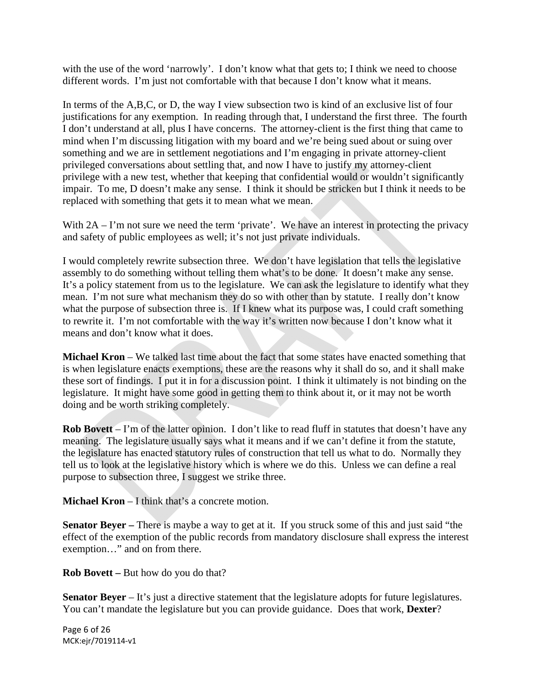with the use of the word 'narrowly'. I don't know what that gets to; I think we need to choose different words. I'm just not comfortable with that because I don't know what it means.

In terms of the A,B,C, or D, the way I view subsection two is kind of an exclusive list of four justifications for any exemption. In reading through that, I understand the first three. The fourth I don't understand at all, plus I have concerns. The attorney-client is the first thing that came to mind when I'm discussing litigation with my board and we're being sued about or suing over something and we are in settlement negotiations and I'm engaging in private attorney-client privileged conversations about settling that, and now I have to justify my attorney-client privilege with a new test, whether that keeping that confidential would or wouldn't significantly impair. To me, D doesn't make any sense. I think it should be stricken but I think it needs to be replaced with something that gets it to mean what we mean.

With  $2A - I'm$  not sure we need the term 'private'. We have an interest in protecting the privacy and safety of public employees as well; it's not just private individuals.

I would completely rewrite subsection three. We don't have legislation that tells the legislative assembly to do something without telling them what's to be done. It doesn't make any sense. It's a policy statement from us to the legislature. We can ask the legislature to identify what they mean. I'm not sure what mechanism they do so with other than by statute. I really don't know what the purpose of subsection three is. If I knew what its purpose was, I could craft something to rewrite it. I'm not comfortable with the way it's written now because I don't know what it means and don't know what it does.

**Michael Kron** – We talked last time about the fact that some states have enacted something that is when legislature enacts exemptions, these are the reasons why it shall do so, and it shall make these sort of findings. I put it in for a discussion point. I think it ultimately is not binding on the legislature. It might have some good in getting them to think about it, or it may not be worth doing and be worth striking completely.

**Rob Bovett** – I'm of the latter opinion. I don't like to read fluff in statutes that doesn't have any meaning. The legislature usually says what it means and if we can't define it from the statute, the legislature has enacted statutory rules of construction that tell us what to do. Normally they tell us to look at the legislative history which is where we do this. Unless we can define a real purpose to subsection three, I suggest we strike three.

**Michael Kron** – I think that's a concrete motion.

**Senator Beyer –** There is maybe a way to get at it. If you struck some of this and just said "the effect of the exemption of the public records from mandatory disclosure shall express the interest exemption…" and on from there.

**Rob Bovett –** But how do you do that?

**Senator Beyer** – It's just a directive statement that the legislature adopts for future legislatures. You can't mandate the legislature but you can provide guidance. Does that work, **Dexter**?

Page 6 of 26 MCK:ejr/7019114‐v1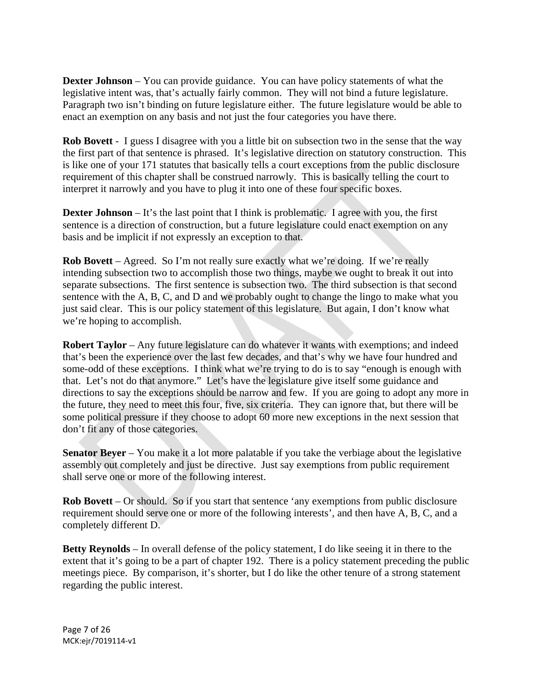**Dexter Johnson** – You can provide guidance. You can have policy statements of what the legislative intent was, that's actually fairly common. They will not bind a future legislature. Paragraph two isn't binding on future legislature either. The future legislature would be able to enact an exemption on any basis and not just the four categories you have there.

**Rob Bovett** - I guess I disagree with you a little bit on subsection two in the sense that the way the first part of that sentence is phrased. It's legislative direction on statutory construction. This is like one of your 171 statutes that basically tells a court exceptions from the public disclosure requirement of this chapter shall be construed narrowly. This is basically telling the court to interpret it narrowly and you have to plug it into one of these four specific boxes.

**Dexter Johnson** – It's the last point that I think is problematic. I agree with you, the first sentence is a direction of construction, but a future legislature could enact exemption on any basis and be implicit if not expressly an exception to that.

**Rob Bovett** – Agreed. So I'm not really sure exactly what we're doing. If we're really intending subsection two to accomplish those two things, maybe we ought to break it out into separate subsections. The first sentence is subsection two. The third subsection is that second sentence with the A, B, C, and D and we probably ought to change the lingo to make what you just said clear. This is our policy statement of this legislature. But again, I don't know what we're hoping to accomplish.

**Robert Taylor** – Any future legislature can do whatever it wants with exemptions; and indeed that's been the experience over the last few decades, and that's why we have four hundred and some-odd of these exceptions. I think what we're trying to do is to say "enough is enough with that. Let's not do that anymore." Let's have the legislature give itself some guidance and directions to say the exceptions should be narrow and few. If you are going to adopt any more in the future, they need to meet this four, five, six criteria. They can ignore that, but there will be some political pressure if they choose to adopt 60 more new exceptions in the next session that don't fit any of those categories.

**Senator Beyer** – You make it a lot more palatable if you take the verbiage about the legislative assembly out completely and just be directive. Just say exemptions from public requirement shall serve one or more of the following interest.

**Rob Bovett** – Or should. So if you start that sentence 'any exemptions from public disclosure requirement should serve one or more of the following interests', and then have A, B, C, and a completely different D.

**Betty Reynolds** – In overall defense of the policy statement, I do like seeing it in there to the extent that it's going to be a part of chapter 192. There is a policy statement preceding the public meetings piece. By comparison, it's shorter, but I do like the other tenure of a strong statement regarding the public interest.

Page 7 of 26 MCK:ejr/7019114‐v1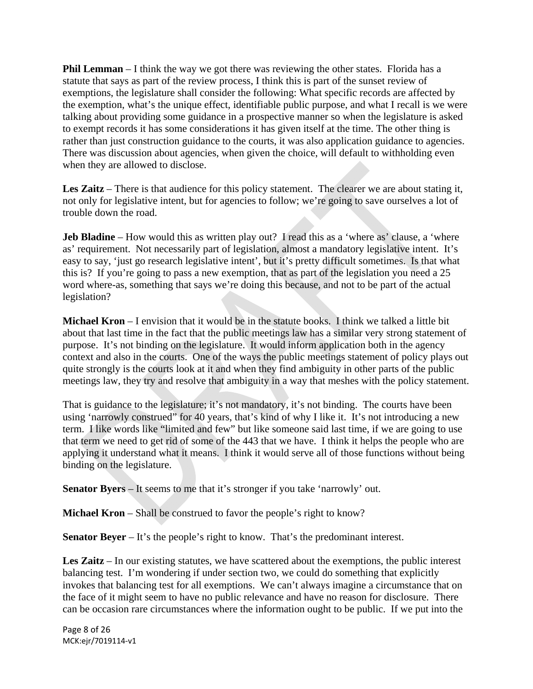**Phil Lemman** – I think the way we got there was reviewing the other states. Florida has a statute that says as part of the review process, I think this is part of the sunset review of exemptions, the legislature shall consider the following: What specific records are affected by the exemption, what's the unique effect, identifiable public purpose, and what I recall is we were talking about providing some guidance in a prospective manner so when the legislature is asked to exempt records it has some considerations it has given itself at the time. The other thing is rather than just construction guidance to the courts, it was also application guidance to agencies. There was discussion about agencies, when given the choice, will default to withholding even when they are allowed to disclose.

**Les Zaitz** – There is that audience for this policy statement. The clearer we are about stating it, not only for legislative intent, but for agencies to follow; we're going to save ourselves a lot of trouble down the road.

**Jeb Bladine** – How would this as written play out? I read this as a 'where as' clause, a 'where as' requirement. Not necessarily part of legislation, almost a mandatory legislative intent. It's easy to say, 'just go research legislative intent', but it's pretty difficult sometimes. Is that what this is? If you're going to pass a new exemption, that as part of the legislation you need a 25 word where-as, something that says we're doing this because, and not to be part of the actual legislation?

**Michael Kron** – I envision that it would be in the statute books. I think we talked a little bit about that last time in the fact that the public meetings law has a similar very strong statement of purpose. It's not binding on the legislature. It would inform application both in the agency context and also in the courts. One of the ways the public meetings statement of policy plays out quite strongly is the courts look at it and when they find ambiguity in other parts of the public meetings law, they try and resolve that ambiguity in a way that meshes with the policy statement.

That is guidance to the legislature; it's not mandatory, it's not binding. The courts have been using 'narrowly construed" for 40 years, that's kind of why I like it. It's not introducing a new term. I like words like "limited and few" but like someone said last time, if we are going to use that term we need to get rid of some of the 443 that we have. I think it helps the people who are applying it understand what it means. I think it would serve all of those functions without being binding on the legislature.

**Senator Byers** – It seems to me that it's stronger if you take 'narrowly' out.

**Michael Kron** – Shall be construed to favor the people's right to know?

**Senator Beyer** – It's the people's right to know. That's the predominant interest.

**Les Zaitz** – In our existing statutes, we have scattered about the exemptions, the public interest balancing test. I'm wondering if under section two, we could do something that explicitly invokes that balancing test for all exemptions. We can't always imagine a circumstance that on the face of it might seem to have no public relevance and have no reason for disclosure. There can be occasion rare circumstances where the information ought to be public. If we put into the

Page 8 of 26 MCK:ejr/7019114‐v1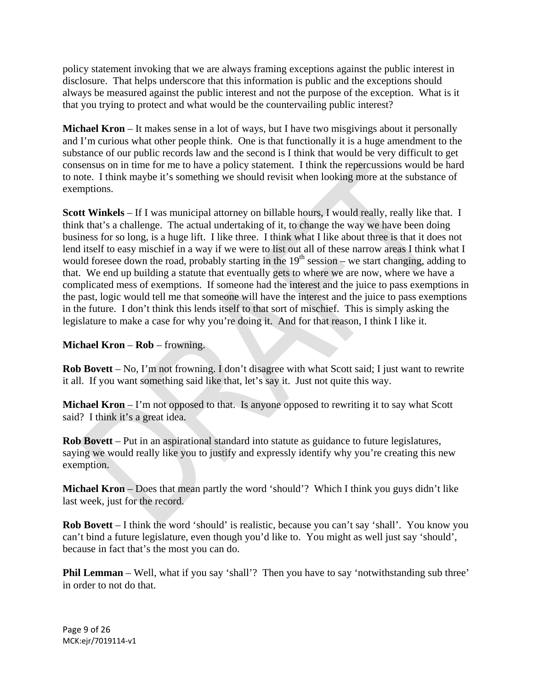policy statement invoking that we are always framing exceptions against the public interest in disclosure. That helps underscore that this information is public and the exceptions should always be measured against the public interest and not the purpose of the exception. What is it that you trying to protect and what would be the countervailing public interest?

**Michael Kron** – It makes sense in a lot of ways, but I have two misgivings about it personally and I'm curious what other people think. One is that functionally it is a huge amendment to the substance of our public records law and the second is I think that would be very difficult to get consensus on in time for me to have a policy statement. I think the repercussions would be hard to note. I think maybe it's something we should revisit when looking more at the substance of exemptions.

**Scott Winkels** – If I was municipal attorney on billable hours, I would really, really like that. I think that's a challenge. The actual undertaking of it, to change the way we have been doing business for so long, is a huge lift. I like three. I think what I like about three is that it does not lend itself to easy mischief in a way if we were to list out all of these narrow areas I think what I would foresee down the road, probably starting in the  $19<sup>th</sup>$  session – we start changing, adding to that. We end up building a statute that eventually gets to where we are now, where we have a complicated mess of exemptions. If someone had the interest and the juice to pass exemptions in the past, logic would tell me that someone will have the interest and the juice to pass exemptions in the future. I don't think this lends itself to that sort of mischief. This is simply asking the legislature to make a case for why you're doing it. And for that reason, I think I like it.

## **Michael Kron** – **Rob** – frowning.

**Rob Bovett** – No, I'm not frowning. I don't disagree with what Scott said; I just want to rewrite it all. If you want something said like that, let's say it. Just not quite this way.

**Michael Kron** – I'm not opposed to that. Is anyone opposed to rewriting it to say what Scott said? I think it's a great idea.

**Rob Bovett** – Put in an aspirational standard into statute as guidance to future legislatures, saying we would really like you to justify and expressly identify why you're creating this new exemption.

**Michael Kron** – Does that mean partly the word 'should'? Which I think you guys didn't like last week, just for the record.

**Rob Bovett** – I think the word 'should' is realistic, because you can't say 'shall'. You know you can't bind a future legislature, even though you'd like to. You might as well just say 'should', because in fact that's the most you can do.

**Phil Lemman** – Well, what if you say 'shall'? Then you have to say 'notwithstanding sub three' in order to not do that.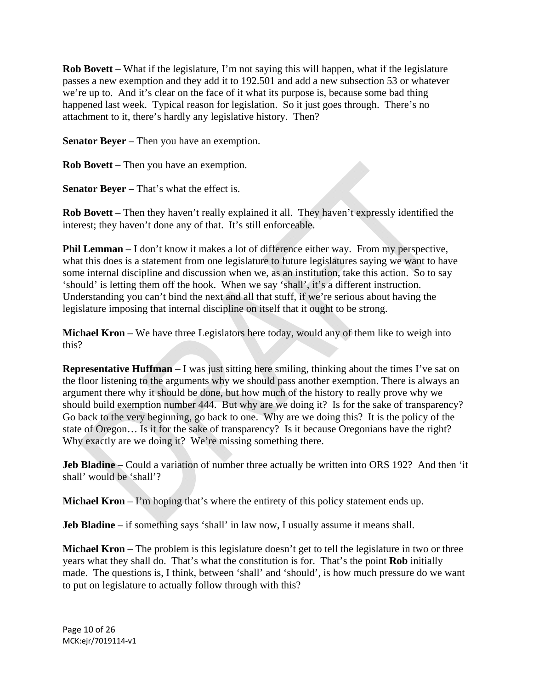**Rob Bovett** – What if the legislature, I'm not saying this will happen, what if the legislature passes a new exemption and they add it to 192.501 and add a new subsection 53 or whatever we're up to. And it's clear on the face of it what its purpose is, because some bad thing happened last week. Typical reason for legislation. So it just goes through. There's no attachment to it, there's hardly any legislative history. Then?

**Senator Beyer** – Then you have an exemption.

**Rob Bovett** – Then you have an exemption.

**Senator Beyer** – That's what the effect is.

**Rob Bovett** – Then they haven't really explained it all. They haven't expressly identified the interest; they haven't done any of that. It's still enforceable.

**Phil Lemman** – I don't know it makes a lot of difference either way. From my perspective, what this does is a statement from one legislature to future legislatures saying we want to have some internal discipline and discussion when we, as an institution, take this action. So to say 'should' is letting them off the hook. When we say 'shall', it's a different instruction. Understanding you can't bind the next and all that stuff, if we're serious about having the legislature imposing that internal discipline on itself that it ought to be strong.

**Michael Kron** – We have three Legislators here today, would any of them like to weigh into this?

**Representative Huffman** – I was just sitting here smiling, thinking about the times I've sat on the floor listening to the arguments why we should pass another exemption. There is always an argument there why it should be done, but how much of the history to really prove why we should build exemption number 444. But why are we doing it? Is for the sake of transparency? Go back to the very beginning, go back to one. Why are we doing this? It is the policy of the state of Oregon… Is it for the sake of transparency? Is it because Oregonians have the right? Why exactly are we doing it? We're missing something there.

**Jeb Bladine** – Could a variation of number three actually be written into ORS 192? And then 'it shall' would be 'shall'?

**Michael Kron** – I'm hoping that's where the entirety of this policy statement ends up.

**Jeb Bladine** – if something says 'shall' in law now, I usually assume it means shall.

**Michael Kron** – The problem is this legislature doesn't get to tell the legislature in two or three years what they shall do. That's what the constitution is for. That's the point **Rob** initially made. The questions is, I think, between 'shall' and 'should', is how much pressure do we want to put on legislature to actually follow through with this?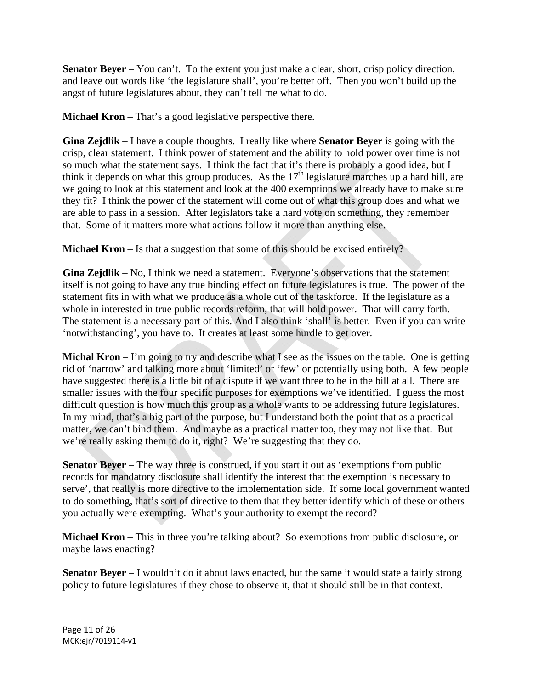**Senator Beyer** – You can't. To the extent you just make a clear, short, crisp policy direction, and leave out words like 'the legislature shall', you're better off. Then you won't build up the angst of future legislatures about, they can't tell me what to do.

**Michael Kron** – That's a good legislative perspective there.

**Gina Zejdlik** – I have a couple thoughts. I really like where **Senator Beyer** is going with the crisp, clear statement. I think power of statement and the ability to hold power over time is not so much what the statement says. I think the fact that it's there is probably a good idea, but I think it depends on what this group produces. As the  $17<sup>th</sup>$  legislature marches up a hard hill, are we going to look at this statement and look at the 400 exemptions we already have to make sure they fit? I think the power of the statement will come out of what this group does and what we are able to pass in a session. After legislators take a hard vote on something, they remember that. Some of it matters more what actions follow it more than anything else.

**Michael Kron** – Is that a suggestion that some of this should be excised entirely?

**Gina Zejdlik** – No, I think we need a statement. Everyone's observations that the statement itself is not going to have any true binding effect on future legislatures is true. The power of the statement fits in with what we produce as a whole out of the taskforce. If the legislature as a whole in interested in true public records reform, that will hold power. That will carry forth. The statement is a necessary part of this. And I also think 'shall' is better. Even if you can write 'notwithstanding', you have to. It creates at least some hurdle to get over.

**Michal Kron** – I'm going to try and describe what I see as the issues on the table. One is getting rid of 'narrow' and talking more about 'limited' or 'few' or potentially using both. A few people have suggested there is a little bit of a dispute if we want three to be in the bill at all. There are smaller issues with the four specific purposes for exemptions we've identified. I guess the most difficult question is how much this group as a whole wants to be addressing future legislatures. In my mind, that's a big part of the purpose, but I understand both the point that as a practical matter, we can't bind them. And maybe as a practical matter too, they may not like that. But we're really asking them to do it, right? We're suggesting that they do.

**Senator Beyer** – The way three is construed, if you start it out as 'exemptions from public records for mandatory disclosure shall identify the interest that the exemption is necessary to serve', that really is more directive to the implementation side. If some local government wanted to do something, that's sort of directive to them that they better identify which of these or others you actually were exempting. What's your authority to exempt the record?

**Michael Kron** – This in three you're talking about? So exemptions from public disclosure, or maybe laws enacting?

**Senator Beyer** – I wouldn't do it about laws enacted, but the same it would state a fairly strong policy to future legislatures if they chose to observe it, that it should still be in that context.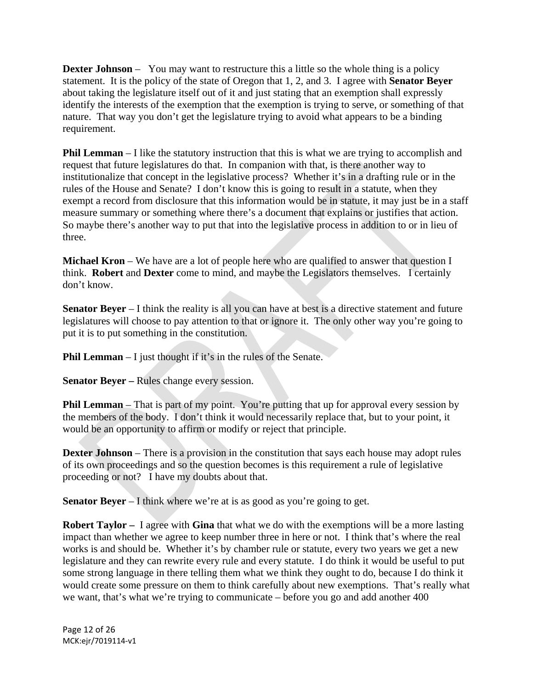**Dexter Johnson** – You may want to restructure this a little so the whole thing is a policy statement. It is the policy of the state of Oregon that 1, 2, and 3. I agree with **Senator Beyer** about taking the legislature itself out of it and just stating that an exemption shall expressly identify the interests of the exemption that the exemption is trying to serve, or something of that nature. That way you don't get the legislature trying to avoid what appears to be a binding requirement.

**Phil Lemman** – I like the statutory instruction that this is what we are trying to accomplish and request that future legislatures do that. In companion with that, is there another way to institutionalize that concept in the legislative process? Whether it's in a drafting rule or in the rules of the House and Senate? I don't know this is going to result in a statute, when they exempt a record from disclosure that this information would be in statute, it may just be in a staff measure summary or something where there's a document that explains or justifies that action. So maybe there's another way to put that into the legislative process in addition to or in lieu of three.

**Michael Kron** – We have are a lot of people here who are qualified to answer that question I think. **Robert** and **Dexter** come to mind, and maybe the Legislators themselves. I certainly don't know.

**Senator Beyer** – I think the reality is all you can have at best is a directive statement and future legislatures will choose to pay attention to that or ignore it. The only other way you're going to put it is to put something in the constitution.

**Phil Lemman** – I just thought if it's in the rules of the Senate.

**Senator Beyer – Rules change every session.** 

**Phil Lemman** – That is part of my point. You're putting that up for approval every session by the members of the body. I don't think it would necessarily replace that, but to your point, it would be an opportunity to affirm or modify or reject that principle.

**Dexter Johnson** – There is a provision in the constitution that says each house may adopt rules of its own proceedings and so the question becomes is this requirement a rule of legislative proceeding or not? I have my doubts about that.

**Senator Beyer** – I think where we're at is as good as you're going to get.

**Robert Taylor –** I agree with **Gina** that what we do with the exemptions will be a more lasting impact than whether we agree to keep number three in here or not. I think that's where the real works is and should be. Whether it's by chamber rule or statute, every two years we get a new legislature and they can rewrite every rule and every statute. I do think it would be useful to put some strong language in there telling them what we think they ought to do, because I do think it would create some pressure on them to think carefully about new exemptions. That's really what we want, that's what we're trying to communicate – before you go and add another 400

Page 12 of 26 MCK:ejr/7019114‐v1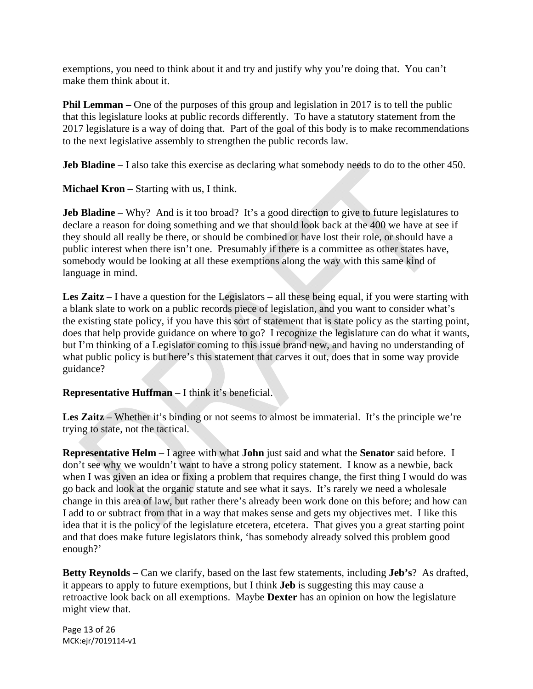exemptions, you need to think about it and try and justify why you're doing that. You can't make them think about it.

**Phil Lemman** – One of the purposes of this group and legislation in 2017 is to tell the public that this legislature looks at public records differently. To have a statutory statement from the 2017 legislature is a way of doing that. Part of the goal of this body is to make recommendations to the next legislative assembly to strengthen the public records law.

**Jeb Bladine** – I also take this exercise as declaring what somebody needs to do to the other 450.

**Michael Kron** – Starting with us, I think.

**Jeb Bladine** – Why? And is it too broad? It's a good direction to give to future legislatures to declare a reason for doing something and we that should look back at the 400 we have at see if they should all really be there, or should be combined or have lost their role, or should have a public interest when there isn't one. Presumably if there is a committee as other states have, somebody would be looking at all these exemptions along the way with this same kind of language in mind.

**Les Zaitz** – I have a question for the Legislators – all these being equal, if you were starting with a blank slate to work on a public records piece of legislation, and you want to consider what's the existing state policy, if you have this sort of statement that is state policy as the starting point, does that help provide guidance on where to go? I recognize the legislature can do what it wants, but I'm thinking of a Legislator coming to this issue brand new, and having no understanding of what public policy is but here's this statement that carves it out, does that in some way provide guidance?

# **Representative Huffman** – I think it's beneficial.

Les Zaitz – Whether it's binding or not seems to almost be immaterial. It's the principle we're trying to state, not the tactical.

**Representative Helm** – I agree with what **John** just said and what the **Senator** said before. I don't see why we wouldn't want to have a strong policy statement. I know as a newbie, back when I was given an idea or fixing a problem that requires change, the first thing I would do was go back and look at the organic statute and see what it says. It's rarely we need a wholesale change in this area of law, but rather there's already been work done on this before; and how can I add to or subtract from that in a way that makes sense and gets my objectives met. I like this idea that it is the policy of the legislature etcetera, etcetera. That gives you a great starting point and that does make future legislators think, 'has somebody already solved this problem good enough?'

**Betty Reynolds** – Can we clarify, based on the last few statements, including **Jeb's**? As drafted, it appears to apply to future exemptions, but I think **Jeb** is suggesting this may cause a retroactive look back on all exemptions. Maybe **Dexter** has an opinion on how the legislature might view that.

Page 13 of 26 MCK:ejr/7019114‐v1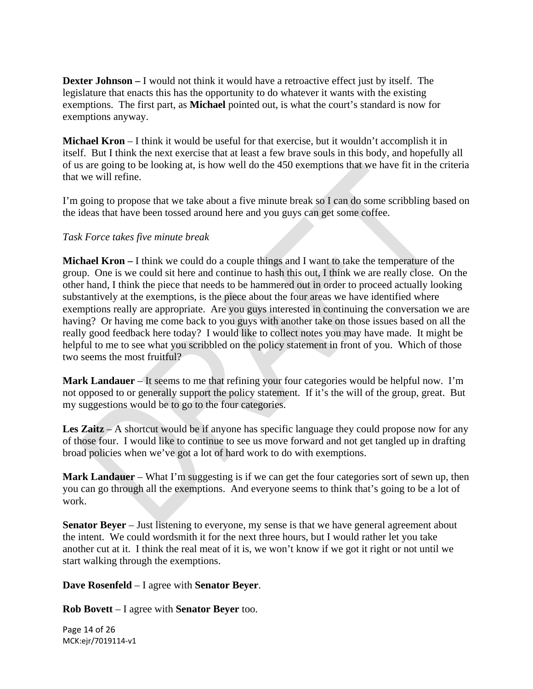**Dexter Johnson –** I would not think it would have a retroactive effect just by itself. The legislature that enacts this has the opportunity to do whatever it wants with the existing exemptions. The first part, as **Michael** pointed out, is what the court's standard is now for exemptions anyway.

**Michael Kron** – I think it would be useful for that exercise, but it wouldn't accomplish it in itself. But I think the next exercise that at least a few brave souls in this body, and hopefully all of us are going to be looking at, is how well do the 450 exemptions that we have fit in the criteria that we will refine.

I'm going to propose that we take about a five minute break so I can do some scribbling based on the ideas that have been tossed around here and you guys can get some coffee.

### *Task Force takes five minute break*

**Michael Kron –** I think we could do a couple things and I want to take the temperature of the group. One is we could sit here and continue to hash this out, I think we are really close. On the other hand, I think the piece that needs to be hammered out in order to proceed actually looking substantively at the exemptions, is the piece about the four areas we have identified where exemptions really are appropriate. Are you guys interested in continuing the conversation we are having? Or having me come back to you guys with another take on those issues based on all the really good feedback here today? I would like to collect notes you may have made. It might be helpful to me to see what you scribbled on the policy statement in front of you. Which of those two seems the most fruitful?

**Mark Landauer** – It seems to me that refining your four categories would be helpful now. I'm not opposed to or generally support the policy statement. If it's the will of the group, great. But my suggestions would be to go to the four categories.

**Les Zaitz** – A shortcut would be if anyone has specific language they could propose now for any of those four. I would like to continue to see us move forward and not get tangled up in drafting broad policies when we've got a lot of hard work to do with exemptions.

**Mark Landauer** – What I'm suggesting is if we can get the four categories sort of sewn up, then you can go through all the exemptions. And everyone seems to think that's going to be a lot of work.

**Senator Beyer** – Just listening to everyone, my sense is that we have general agreement about the intent. We could wordsmith it for the next three hours, but I would rather let you take another cut at it. I think the real meat of it is, we won't know if we got it right or not until we start walking through the exemptions.

**Dave Rosenfeld** – I agree with **Senator Beyer**.

**Rob Bovett** – I agree with **Senator Beyer** too.

Page 14 of 26 MCK:ejr/7019114‐v1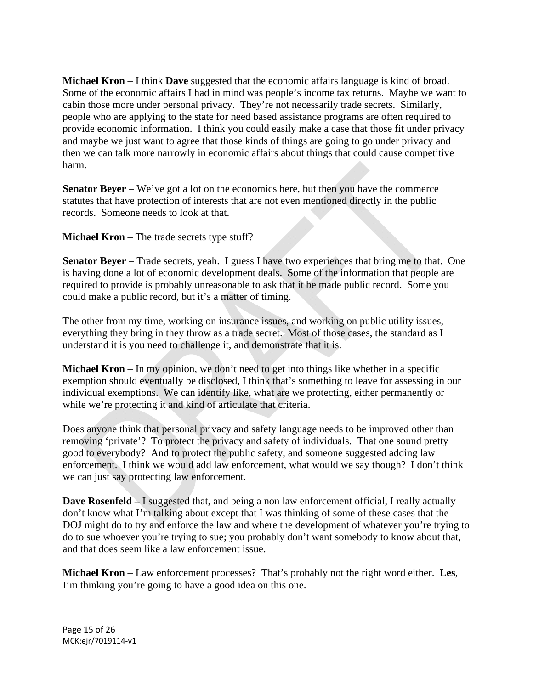**Michael Kron** – I think **Dave** suggested that the economic affairs language is kind of broad. Some of the economic affairs I had in mind was people's income tax returns. Maybe we want to cabin those more under personal privacy. They're not necessarily trade secrets. Similarly, people who are applying to the state for need based assistance programs are often required to provide economic information. I think you could easily make a case that those fit under privacy and maybe we just want to agree that those kinds of things are going to go under privacy and then we can talk more narrowly in economic affairs about things that could cause competitive harm.

**Senator Beyer** – We've got a lot on the economics here, but then you have the commerce statutes that have protection of interests that are not even mentioned directly in the public records. Someone needs to look at that.

**Michael Kron** – The trade secrets type stuff?

**Senator Beyer** – Trade secrets, yeah. I guess I have two experiences that bring me to that. One is having done a lot of economic development deals. Some of the information that people are required to provide is probably unreasonable to ask that it be made public record. Some you could make a public record, but it's a matter of timing.

The other from my time, working on insurance issues, and working on public utility issues, everything they bring in they throw as a trade secret. Most of those cases, the standard as I understand it is you need to challenge it, and demonstrate that it is.

**Michael Kron** – In my opinion, we don't need to get into things like whether in a specific exemption should eventually be disclosed, I think that's something to leave for assessing in our individual exemptions. We can identify like, what are we protecting, either permanently or while we're protecting it and kind of articulate that criteria.

Does anyone think that personal privacy and safety language needs to be improved other than removing 'private'? To protect the privacy and safety of individuals. That one sound pretty good to everybody? And to protect the public safety, and someone suggested adding law enforcement. I think we would add law enforcement, what would we say though? I don't think we can just say protecting law enforcement.

**Dave Rosenfeld** – I suggested that, and being a non law enforcement official, I really actually don't know what I'm talking about except that I was thinking of some of these cases that the DOJ might do to try and enforce the law and where the development of whatever you're trying to do to sue whoever you're trying to sue; you probably don't want somebody to know about that, and that does seem like a law enforcement issue.

**Michael Kron** – Law enforcement processes? That's probably not the right word either. **Les**, I'm thinking you're going to have a good idea on this one.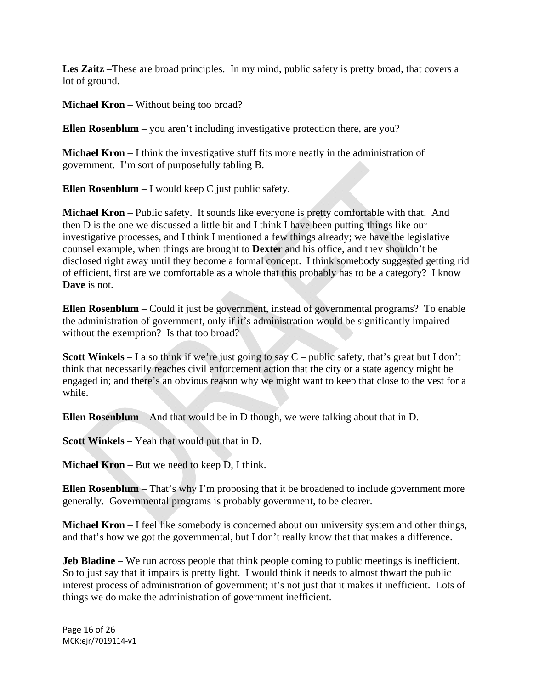**Les Zaitz** –These are broad principles. In my mind, public safety is pretty broad, that covers a lot of ground.

**Michael Kron** – Without being too broad?

**Ellen Rosenblum** – you aren't including investigative protection there, are you?

**Michael Kron** – I think the investigative stuff fits more neatly in the administration of government. I'm sort of purposefully tabling B.

**Ellen Rosenblum** – I would keep C just public safety.

**Michael Kron** – Public safety. It sounds like everyone is pretty comfortable with that. And then D is the one we discussed a little bit and I think I have been putting things like our investigative processes, and I think I mentioned a few things already; we have the legislative counsel example, when things are brought to **Dexter** and his office, and they shouldn't be disclosed right away until they become a formal concept. I think somebody suggested getting rid of efficient, first are we comfortable as a whole that this probably has to be a category? I know **Dave** is not.

**Ellen Rosenblum** – Could it just be government, instead of governmental programs? To enable the administration of government, only if it's administration would be significantly impaired without the exemption? Is that too broad?

**Scott Winkels** – I also think if we're just going to say C – public safety, that's great but I don't think that necessarily reaches civil enforcement action that the city or a state agency might be engaged in; and there's an obvious reason why we might want to keep that close to the vest for a while.

**Ellen Rosenblum** – And that would be in D though, we were talking about that in D.

**Scott Winkels** – Yeah that would put that in D.

**Michael Kron** – But we need to keep D, I think.

**Ellen Rosenblum** – That's why I'm proposing that it be broadened to include government more generally. Governmental programs is probably government, to be clearer.

**Michael Kron** – I feel like somebody is concerned about our university system and other things, and that's how we got the governmental, but I don't really know that that makes a difference.

**Jeb Bladine** – We run across people that think people coming to public meetings is inefficient. So to just say that it impairs is pretty light. I would think it needs to almost thwart the public interest process of administration of government; it's not just that it makes it inefficient. Lots of things we do make the administration of government inefficient.

Page 16 of 26 MCK:ejr/7019114‐v1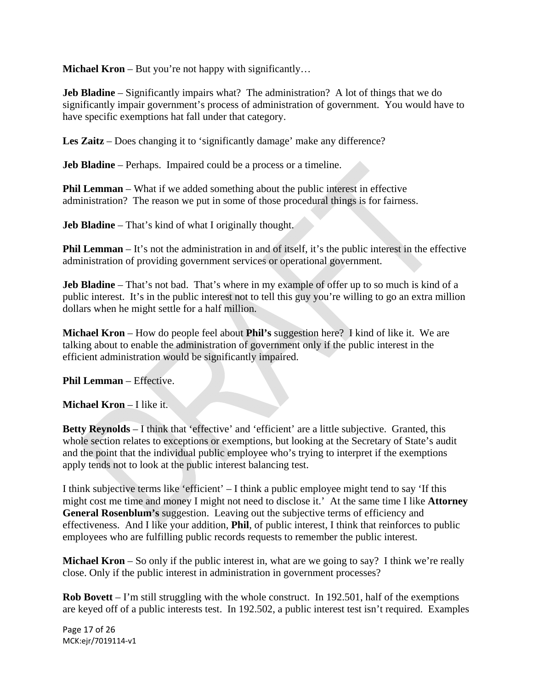**Michael Kron** – But you're not happy with significantly...

**Jeb Bladine** – Significantly impairs what? The administration? A lot of things that we do significantly impair government's process of administration of government. You would have to have specific exemptions hat fall under that category.

Les Zaitz – Does changing it to 'significantly damage' make any difference?

**Jeb Bladine** – Perhaps. Impaired could be a process or a timeline.

**Phil Lemman** – What if we added something about the public interest in effective administration? The reason we put in some of those procedural things is for fairness.

**Jeb Bladine** – That's kind of what I originally thought.

**Phil Lemman** – It's not the administration in and of itself, it's the public interest in the effective administration of providing government services or operational government.

**Jeb Bladine** – That's not bad. That's where in my example of offer up to so much is kind of a public interest. It's in the public interest not to tell this guy you're willing to go an extra million dollars when he might settle for a half million.

**Michael Kron** – How do people feel about **Phil's** suggestion here? I kind of like it. We are talking about to enable the administration of government only if the public interest in the efficient administration would be significantly impaired.

**Phil Lemman** – Effective.

**Michael Kron** – I like it.

**Betty Reynolds** – I think that 'effective' and 'efficient' are a little subjective. Granted, this whole section relates to exceptions or exemptions, but looking at the Secretary of State's audit and the point that the individual public employee who's trying to interpret if the exemptions apply tends not to look at the public interest balancing test.

I think subjective terms like 'efficient' – I think a public employee might tend to say 'If this might cost me time and money I might not need to disclose it.' At the same time I like **Attorney General Rosenblum's** suggestion. Leaving out the subjective terms of efficiency and effectiveness. And I like your addition, **Phil**, of public interest, I think that reinforces to public employees who are fulfilling public records requests to remember the public interest.

**Michael Kron** – So only if the public interest in, what are we going to say? I think we're really close. Only if the public interest in administration in government processes?

**Rob Bovett** – I'm still struggling with the whole construct. In 192.501, half of the exemptions are keyed off of a public interests test. In 192.502, a public interest test isn't required. Examples

Page 17 of 26 MCK:ejr/7019114‐v1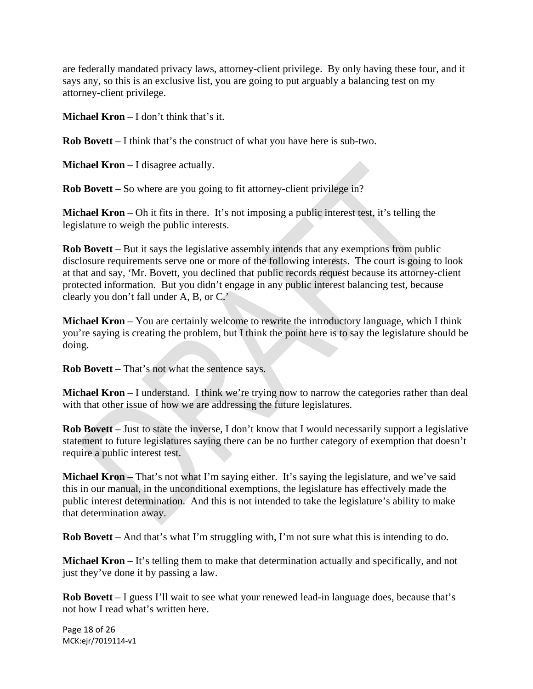are federally mandated privacy laws, attorney-client privilege. By only having these four, and it says any, so this is an exclusive list, you are going to put arguably a balancing test on my attorney-client privilege.

**Michael Kron** – I don't think that's it.

**Rob Bovett** – I think that's the construct of what you have here is sub-two.

**Michael Kron** – I disagree actually.

**Rob Bovett** – So where are you going to fit attorney-client privilege in?

**Michael Kron** – Oh it fits in there. It's not imposing a public interest test, it's telling the legislature to weigh the public interests.

**Rob Bovett** – But it says the legislative assembly intends that any exemptions from public disclosure requirements serve one or more of the following interests. The court is going to look at that and say, 'Mr. Bovett, you declined that public records request because its attorney-client protected information. But you didn't engage in any public interest balancing test, because clearly you don't fall under A, B, or C.'

**Michael Kron** – You are certainly welcome to rewrite the introductory language, which I think you're saying is creating the problem, but I think the point here is to say the legislature should be doing.

**Rob Bovett** – That's not what the sentence says.

**Michael Kron** – I understand. I think we're trying now to narrow the categories rather than deal with that other issue of how we are addressing the future legislatures.

**Rob Bovett** – Just to state the inverse, I don't know that I would necessarily support a legislative statement to future legislatures saying there can be no further category of exemption that doesn't require a public interest test.

**Michael Kron** – That's not what I'm saying either. It's saying the legislature, and we've said this in our manual, in the unconditional exemptions, the legislature has effectively made the public interest determination. And this is not intended to take the legislature's ability to make that determination away.

**Rob Bovett** – And that's what I'm struggling with, I'm not sure what this is intending to do.

**Michael Kron** – It's telling them to make that determination actually and specifically, and not just they've done it by passing a law.

**Rob Bovett** – I guess I'll wait to see what your renewed lead-in language does, because that's not how I read what's written here.

Page 18 of 26 MCK:ejr/7019114‐v1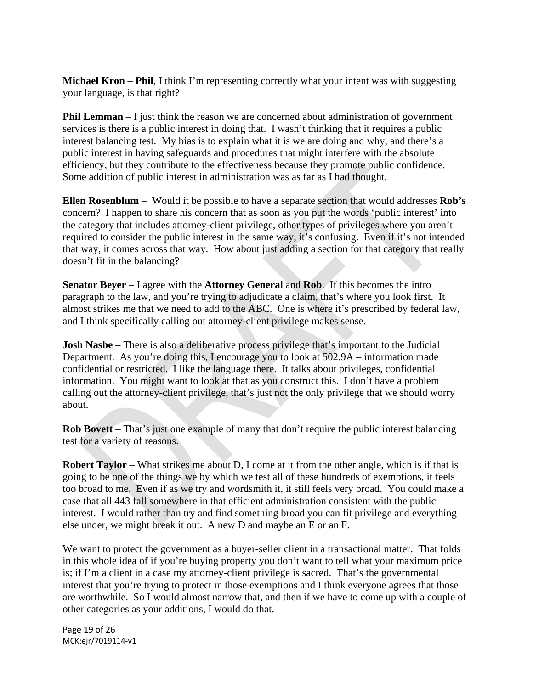**Michael Kron** – **Phil**, I think I'm representing correctly what your intent was with suggesting your language, is that right?

**Phil Lemman** – I just think the reason we are concerned about administration of government services is there is a public interest in doing that. I wasn't thinking that it requires a public interest balancing test. My bias is to explain what it is we are doing and why, and there's a public interest in having safeguards and procedures that might interfere with the absolute efficiency, but they contribute to the effectiveness because they promote public confidence. Some addition of public interest in administration was as far as I had thought.

**Ellen Rosenblum** – Would it be possible to have a separate section that would addresses **Rob's** concern? I happen to share his concern that as soon as you put the words 'public interest' into the category that includes attorney-client privilege, other types of privileges where you aren't required to consider the public interest in the same way, it's confusing. Even if it's not intended that way, it comes across that way. How about just adding a section for that category that really doesn't fit in the balancing?

**Senator Beyer** – I agree with the **Attorney General** and **Rob**. If this becomes the intro paragraph to the law, and you're trying to adjudicate a claim, that's where you look first. It almost strikes me that we need to add to the ABC. One is where it's prescribed by federal law, and I think specifically calling out attorney-client privilege makes sense.

**Josh Nasbe** – There is also a deliberative process privilege that's important to the Judicial Department. As you're doing this, I encourage you to look at 502.9A – information made confidential or restricted. I like the language there. It talks about privileges, confidential information. You might want to look at that as you construct this. I don't have a problem calling out the attorney-client privilege, that's just not the only privilege that we should worry about.

**Rob Bovett** – That's just one example of many that don't require the public interest balancing test for a variety of reasons.

**Robert Taylor** – What strikes me about D, I come at it from the other angle, which is if that is going to be one of the things we by which we test all of these hundreds of exemptions, it feels too broad to me. Even if as we try and wordsmith it, it still feels very broad. You could make a case that all 443 fall somewhere in that efficient administration consistent with the public interest. I would rather than try and find something broad you can fit privilege and everything else under, we might break it out. A new D and maybe an E or an F.

We want to protect the government as a buyer-seller client in a transactional matter. That folds in this whole idea of if you're buying property you don't want to tell what your maximum price is; if I'm a client in a case my attorney-client privilege is sacred. That's the governmental interest that you're trying to protect in those exemptions and I think everyone agrees that those are worthwhile. So I would almost narrow that, and then if we have to come up with a couple of other categories as your additions, I would do that.

Page 19 of 26 MCK:ejr/7019114‐v1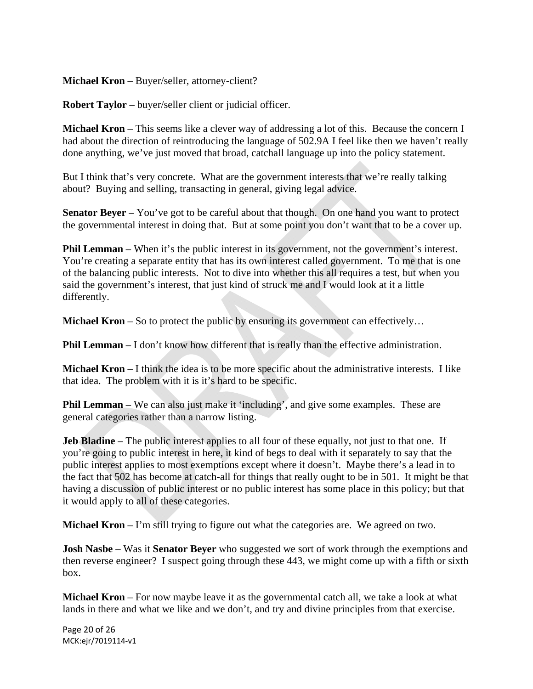**Michael Kron** – Buyer/seller, attorney-client?

**Robert Taylor** – buyer/seller client or judicial officer.

**Michael Kron** – This seems like a clever way of addressing a lot of this. Because the concern I had about the direction of reintroducing the language of 502.9A I feel like then we haven't really done anything, we've just moved that broad, catchall language up into the policy statement.

But I think that's very concrete. What are the government interests that we're really talking about? Buying and selling, transacting in general, giving legal advice.

**Senator Beyer** – You've got to be careful about that though. On one hand you want to protect the governmental interest in doing that. But at some point you don't want that to be a cover up.

**Phil Lemman** – When it's the public interest in its government, not the government's interest. You're creating a separate entity that has its own interest called government. To me that is one of the balancing public interests. Not to dive into whether this all requires a test, but when you said the government's interest, that just kind of struck me and I would look at it a little differently.

**Michael Kron** – So to protect the public by ensuring its government can effectively...

**Phil Lemman** – I don't know how different that is really than the effective administration.

**Michael Kron** – I think the idea is to be more specific about the administrative interests. I like that idea. The problem with it is it's hard to be specific.

**Phil Lemman** – We can also just make it 'including', and give some examples. These are general categories rather than a narrow listing.

**Jeb Bladine** – The public interest applies to all four of these equally, not just to that one. If you're going to public interest in here, it kind of begs to deal with it separately to say that the public interest applies to most exemptions except where it doesn't. Maybe there's a lead in to the fact that 502 has become at catch-all for things that really ought to be in 501. It might be that having a discussion of public interest or no public interest has some place in this policy; but that it would apply to all of these categories.

**Michael Kron** – I'm still trying to figure out what the categories are. We agreed on two.

**Josh Nasbe** – Was it **Senator Beyer** who suggested we sort of work through the exemptions and then reverse engineer? I suspect going through these 443, we might come up with a fifth or sixth box.

**Michael Kron** – For now maybe leave it as the governmental catch all, we take a look at what lands in there and what we like and we don't, and try and divine principles from that exercise.

Page 20 of 26 MCK:ejr/7019114‐v1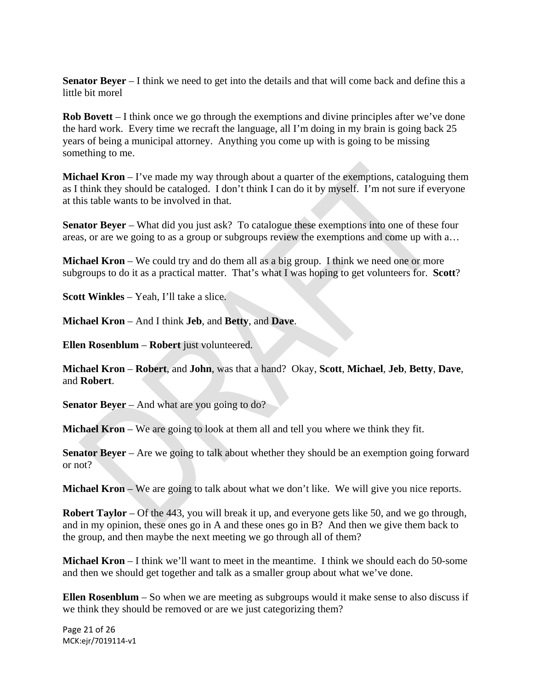**Senator Beyer** – I think we need to get into the details and that will come back and define this a little bit morel

**Rob Bovett** – I think once we go through the exemptions and divine principles after we've done the hard work. Every time we recraft the language, all I'm doing in my brain is going back 25 years of being a municipal attorney. Anything you come up with is going to be missing something to me.

**Michael Kron** – I've made my way through about a quarter of the exemptions, cataloguing them as I think they should be cataloged. I don't think I can do it by myself. I'm not sure if everyone at this table wants to be involved in that.

**Senator Beyer** – What did you just ask? To catalogue these exemptions into one of these four areas, or are we going to as a group or subgroups review the exemptions and come up with a…

**Michael Kron** – We could try and do them all as a big group. I think we need one or more subgroups to do it as a practical matter. That's what I was hoping to get volunteers for. **Scott**?

**Scott Winkles** – Yeah, I'll take a slice.

**Michael Kron** – And I think **Jeb**, and **Betty**, and **Dave**.

**Ellen Rosenblum** – **Robert** just volunteered.

**Michael Kron** – **Robert**, and **John**, was that a hand? Okay, **Scott**, **Michael**, **Jeb**, **Betty**, **Dave**, and **Robert**.

**Senator Beyer** – And what are you going to do?

**Michael Kron** – We are going to look at them all and tell you where we think they fit.

**Senator Beyer** – Are we going to talk about whether they should be an exemption going forward or not?

**Michael Kron** – We are going to talk about what we don't like. We will give you nice reports.

**Robert Taylor** – Of the 443, you will break it up, and everyone gets like 50, and we go through, and in my opinion, these ones go in A and these ones go in B? And then we give them back to the group, and then maybe the next meeting we go through all of them?

**Michael Kron** – I think we'll want to meet in the meantime. I think we should each do 50-some and then we should get together and talk as a smaller group about what we've done.

**Ellen Rosenblum** – So when we are meeting as subgroups would it make sense to also discuss if we think they should be removed or are we just categorizing them?

Page 21 of 26 MCK:ejr/7019114‐v1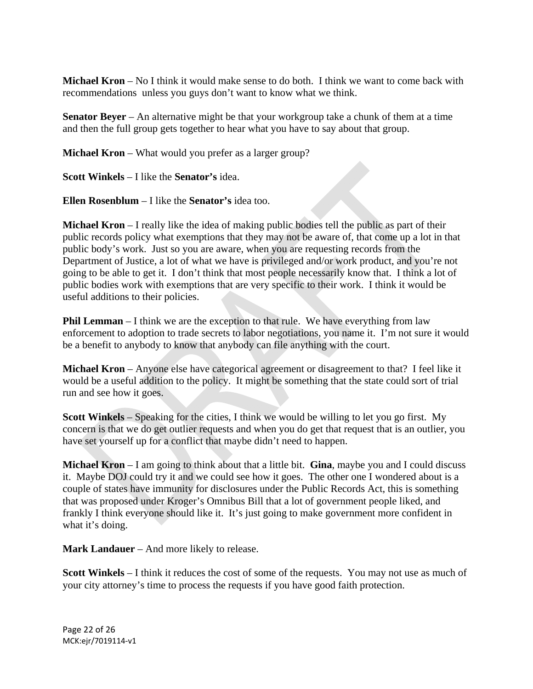**Michael Kron** – No I think it would make sense to do both. I think we want to come back with recommendations unless you guys don't want to know what we think.

**Senator Beyer** – An alternative might be that your workgroup take a chunk of them at a time and then the full group gets together to hear what you have to say about that group.

**Michael Kron** – What would you prefer as a larger group?

**Scott Winkels** – I like the **Senator's** idea.

**Ellen Rosenblum** – I like the **Senator's** idea too.

**Michael Kron** – I really like the idea of making public bodies tell the public as part of their public records policy what exemptions that they may not be aware of, that come up a lot in that public body's work. Just so you are aware, when you are requesting records from the Department of Justice, a lot of what we have is privileged and/or work product, and you're not going to be able to get it. I don't think that most people necessarily know that. I think a lot of public bodies work with exemptions that are very specific to their work. I think it would be useful additions to their policies.

**Phil Lemman** – I think we are the exception to that rule. We have everything from law enforcement to adoption to trade secrets to labor negotiations, you name it. I'm not sure it would be a benefit to anybody to know that anybody can file anything with the court.

**Michael Kron** – Anyone else have categorical agreement or disagreement to that? I feel like it would be a useful addition to the policy. It might be something that the state could sort of trial run and see how it goes.

**Scott Winkels** – Speaking for the cities, I think we would be willing to let you go first. My concern is that we do get outlier requests and when you do get that request that is an outlier, you have set yourself up for a conflict that maybe didn't need to happen.

**Michael Kron** – I am going to think about that a little bit. **Gina**, maybe you and I could discuss it. Maybe DOJ could try it and we could see how it goes. The other one I wondered about is a couple of states have immunity for disclosures under the Public Records Act, this is something that was proposed under Kroger's Omnibus Bill that a lot of government people liked, and frankly I think everyone should like it. It's just going to make government more confident in what it's doing.

**Mark Landauer** – And more likely to release.

**Scott Winkels** – I think it reduces the cost of some of the requests. You may not use as much of your city attorney's time to process the requests if you have good faith protection.

Page 22 of 26 MCK:ejr/7019114‐v1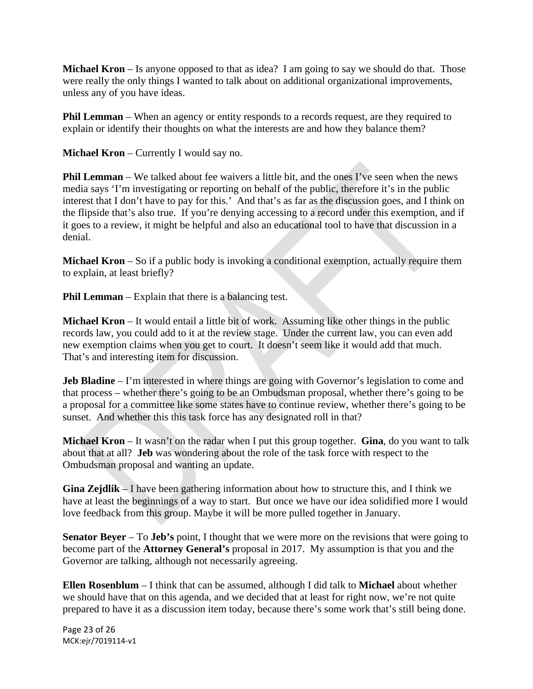**Michael Kron** – Is anyone opposed to that as idea? I am going to say we should do that. Those were really the only things I wanted to talk about on additional organizational improvements, unless any of you have ideas.

**Phil Lemman** – When an agency or entity responds to a records request, are they required to explain or identify their thoughts on what the interests are and how they balance them?

**Michael Kron** – Currently I would say no.

**Phil Lemman** – We talked about fee waivers a little bit, and the ones I've seen when the news media says 'I'm investigating or reporting on behalf of the public, therefore it's in the public interest that I don't have to pay for this.' And that's as far as the discussion goes, and I think on the flipside that's also true. If you're denying accessing to a record under this exemption, and if it goes to a review, it might be helpful and also an educational tool to have that discussion in a denial.

**Michael Kron** – So if a public body is invoking a conditional exemption, actually require them to explain, at least briefly?

**Phil Lemman** – Explain that there is a balancing test.

**Michael Kron** – It would entail a little bit of work. Assuming like other things in the public records law, you could add to it at the review stage. Under the current law, you can even add new exemption claims when you get to court. It doesn't seem like it would add that much. That's and interesting item for discussion.

**Jeb Bladine** – I'm interested in where things are going with Governor's legislation to come and that process – whether there's going to be an Ombudsman proposal, whether there's going to be a proposal for a committee like some states have to continue review, whether there's going to be sunset. And whether this this task force has any designated roll in that?

**Michael Kron** – It wasn't on the radar when I put this group together. **Gina**, do you want to talk about that at all? **Jeb** was wondering about the role of the task force with respect to the Ombudsman proposal and wanting an update.

**Gina Zejdlik** – I have been gathering information about how to structure this, and I think we have at least the beginnings of a way to start. But once we have our idea solidified more I would love feedback from this group. Maybe it will be more pulled together in January.

**Senator Beyer** – To **Jeb's** point, I thought that we were more on the revisions that were going to become part of the **Attorney General's** proposal in 2017. My assumption is that you and the Governor are talking, although not necessarily agreeing.

**Ellen Rosenblum** – I think that can be assumed, although I did talk to **Michael** about whether we should have that on this agenda, and we decided that at least for right now, we're not quite prepared to have it as a discussion item today, because there's some work that's still being done.

Page 23 of 26 MCK:ejr/7019114‐v1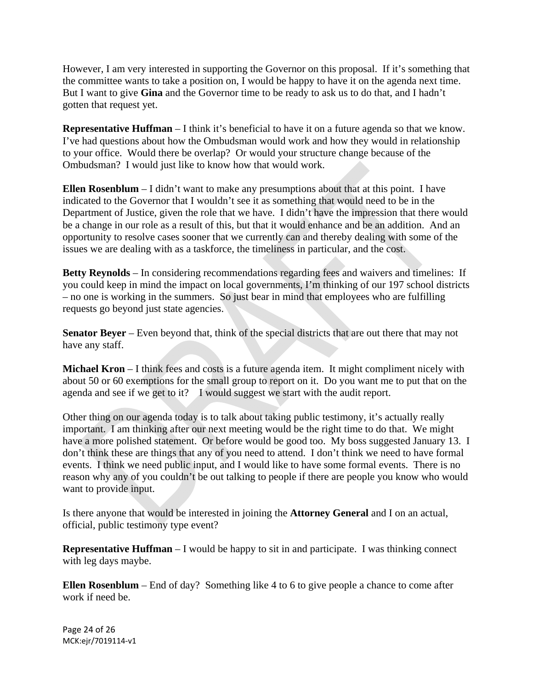However, I am very interested in supporting the Governor on this proposal. If it's something that the committee wants to take a position on, I would be happy to have it on the agenda next time. But I want to give **Gina** and the Governor time to be ready to ask us to do that, and I hadn't gotten that request yet.

**Representative Huffman** – I think it's beneficial to have it on a future agenda so that we know. I've had questions about how the Ombudsman would work and how they would in relationship to your office. Would there be overlap? Or would your structure change because of the Ombudsman? I would just like to know how that would work.

**Ellen Rosenblum** – I didn't want to make any presumptions about that at this point. I have indicated to the Governor that I wouldn't see it as something that would need to be in the Department of Justice, given the role that we have. I didn't have the impression that there would be a change in our role as a result of this, but that it would enhance and be an addition. And an opportunity to resolve cases sooner that we currently can and thereby dealing with some of the issues we are dealing with as a taskforce, the timeliness in particular, and the cost.

**Betty Reynolds** – In considering recommendations regarding fees and waivers and timelines: If you could keep in mind the impact on local governments, I'm thinking of our 197 school districts – no one is working in the summers. So just bear in mind that employees who are fulfilling requests go beyond just state agencies.

**Senator Beyer** – Even beyond that, think of the special districts that are out there that may not have any staff.

**Michael Kron** – I think fees and costs is a future agenda item. It might compliment nicely with about 50 or 60 exemptions for the small group to report on it. Do you want me to put that on the agenda and see if we get to it? I would suggest we start with the audit report.

Other thing on our agenda today is to talk about taking public testimony, it's actually really important. I am thinking after our next meeting would be the right time to do that. We might have a more polished statement. Or before would be good too. My boss suggested January 13. I don't think these are things that any of you need to attend. I don't think we need to have formal events. I think we need public input, and I would like to have some formal events. There is no reason why any of you couldn't be out talking to people if there are people you know who would want to provide input.

Is there anyone that would be interested in joining the **Attorney General** and I on an actual, official, public testimony type event?

**Representative Huffman** – I would be happy to sit in and participate. I was thinking connect with leg days maybe.

**Ellen Rosenblum** – End of day? Something like 4 to 6 to give people a chance to come after work if need be.

Page 24 of 26 MCK:ejr/7019114‐v1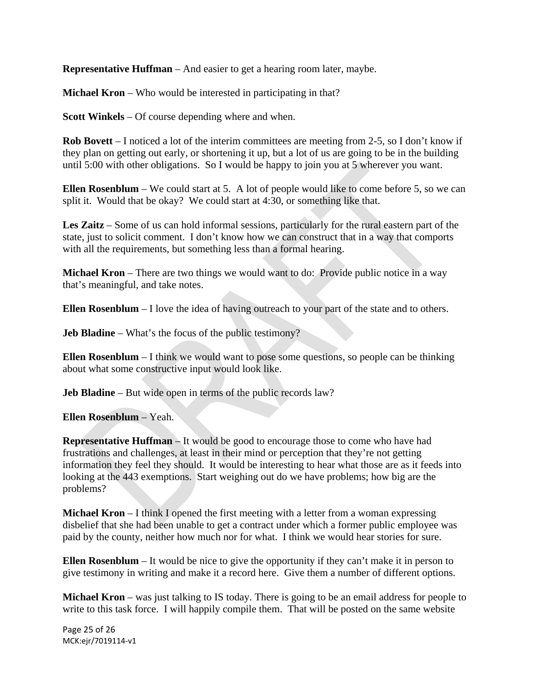**Representative Huffman** – And easier to get a hearing room later, maybe.

**Michael Kron** – Who would be interested in participating in that?

**Scott Winkels** – Of course depending where and when.

**Rob Bovett** – I noticed a lot of the interim committees are meeting from 2-5, so I don't know if they plan on getting out early, or shortening it up, but a lot of us are going to be in the building until 5:00 with other obligations. So I would be happy to join you at 5 wherever you want.

**Ellen Rosenblum** – We could start at 5. A lot of people would like to come before 5, so we can split it. Would that be okay? We could start at 4:30, or something like that.

**Les Zaitz** – Some of us can hold informal sessions, particularly for the rural eastern part of the state, just to solicit comment. I don't know how we can construct that in a way that comports with all the requirements, but something less than a formal hearing.

**Michael Kron** – There are two things we would want to do: Provide public notice in a way that's meaningful, and take notes.

**Ellen Rosenblum** – I love the idea of having outreach to your part of the state and to others.

**Jeb Bladine** – What's the focus of the public testimony?

**Ellen Rosenblum** – I think we would want to pose some questions, so people can be thinking about what some constructive input would look like.

**Jeb Bladine** – But wide open in terms of the public records law?

**Ellen Rosenblum** – Yeah.

**Representative Huffman** – It would be good to encourage those to come who have had frustrations and challenges, at least in their mind or perception that they're not getting information they feel they should. It would be interesting to hear what those are as it feeds into looking at the 443 exemptions. Start weighing out do we have problems; how big are the problems?

**Michael Kron** – I think I opened the first meeting with a letter from a woman expressing disbelief that she had been unable to get a contract under which a former public employee was paid by the county, neither how much nor for what. I think we would hear stories for sure.

**Ellen Rosenblum** – It would be nice to give the opportunity if they can't make it in person to give testimony in writing and make it a record here. Give them a number of different options.

**Michael Kron** – was just talking to IS today. There is going to be an email address for people to write to this task force. I will happily compile them. That will be posted on the same website

Page 25 of 26 MCK:ejr/7019114‐v1